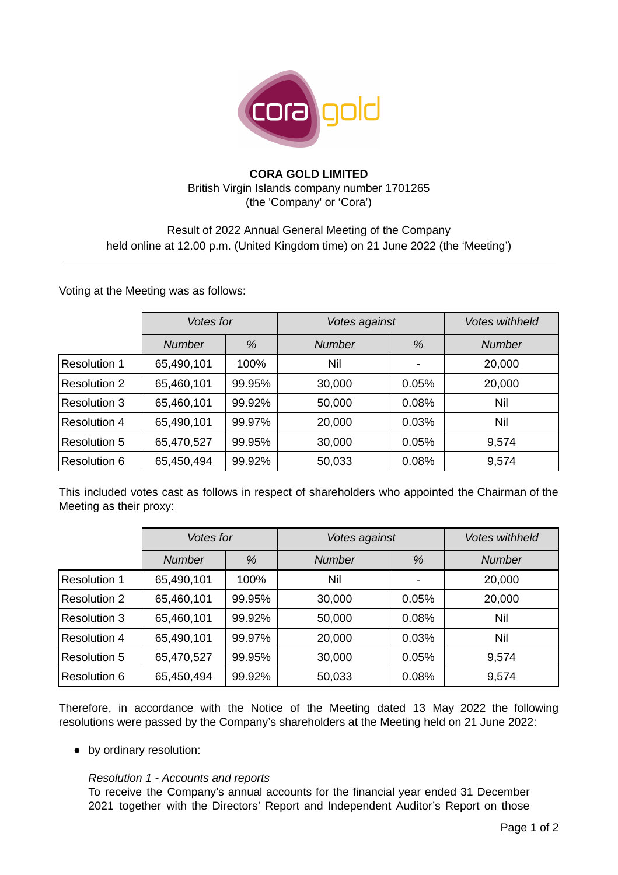

## **CORA GOLD LIMITED** British Virgin Islands company number 1701265 (the 'Company' or 'Cora')

# Result of 2022 Annual General Meeting of the Company held online at 12.00 p.m. (United Kingdom time) on 21 June 2022 (the 'Meeting')

Voting at the Meeting was as follows:

|                     | Votes for     |        | Votes against |       | <b>Votes withheld</b> |
|---------------------|---------------|--------|---------------|-------|-----------------------|
|                     | <b>Number</b> | %      | <b>Number</b> | %     | <b>Number</b>         |
| Resolution 1        | 65,490,101    | 100%   | Nil           |       | 20,000                |
| <b>Resolution 2</b> | 65,460,101    | 99.95% | 30,000        | 0.05% | 20,000                |
| <b>Resolution 3</b> | 65,460,101    | 99.92% | 50,000        | 0.08% | Nil                   |
| Resolution 4        | 65,490,101    | 99.97% | 20,000        | 0.03% | Nil                   |
| <b>Resolution 5</b> | 65,470,527    | 99.95% | 30,000        | 0.05% | 9,574                 |
| Resolution 6        | 65,450,494    | 99.92% | 50,033        | 0.08% | 9,574                 |

This included votes cast as follows in respect of shareholders who appointed the Chairman of the Meeting as their proxy:

|                     | <b>Votes for</b> |        | Votes against |       | <b>Votes withheld</b> |
|---------------------|------------------|--------|---------------|-------|-----------------------|
|                     | <b>Number</b>    | %      | <b>Number</b> | %     | <b>Number</b>         |
| <b>Resolution 1</b> | 65,490,101       | 100%   | Nil           |       | 20,000                |
| <b>Resolution 2</b> | 65,460,101       | 99.95% | 30,000        | 0.05% | 20,000                |
| Resolution 3        | 65,460,101       | 99.92% | 50,000        | 0.08% | Nil                   |
| Resolution 4        | 65,490,101       | 99.97% | 20,000        | 0.03% | Nil                   |
| <b>Resolution 5</b> | 65,470,527       | 99.95% | 30,000        | 0.05% | 9,574                 |
| Resolution 6        | 65,450,494       | 99.92% | 50,033        | 0.08% | 9,574                 |

Therefore, in accordance with the Notice of the Meeting dated 13 May 2022 the following resolutions were passed by the Company's shareholders at the Meeting held on 21 June 2022:

● by ordinary resolution:

### *Resolution 1 - Accounts and reports*

To receive the Company's annual accounts for the financial year ended 31 December 2021 together with the Directors' Report and Independent Auditor's Report on those